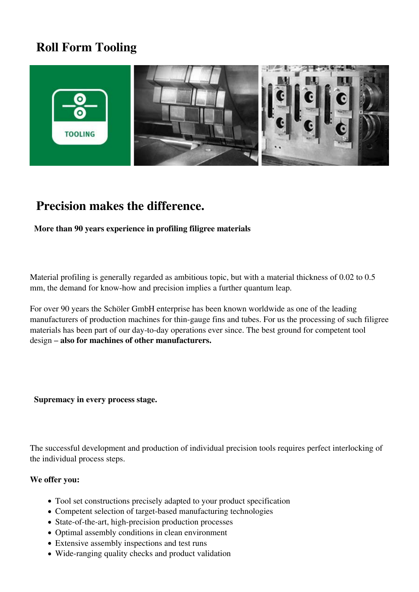## **Roll Form Tooling**



### **Precision makes the difference.**

#### **More than 90 years experience in profiling filigree materials**

Material profiling is generally regarded as ambitious topic, but with a material thickness of 0.02 to 0.5 mm, the demand for know-how and precision implies a further quantum leap.

For over 90 years the Schöler GmbH enterprise has been known worldwide as one of the leading manufacturers of production machines for thin-gauge fins and tubes. For us the processing of such filigree materials has been part of our day-to-day operations ever since. The best ground for competent tool design – **also for machines of other manufacturers.**

 **Supremacy in every process stage.**

The successful development and production of individual precision tools requires perfect interlocking of the individual process steps.

#### **We offer you:**

- Tool set constructions precisely adapted to your product specification
- Competent selection of target-based manufacturing technologies
- State-of-the-art, high-precision production processes
- Optimal assembly conditions in clean environment
- Extensive assembly inspections and test runs
- Wide-ranging quality checks and product validation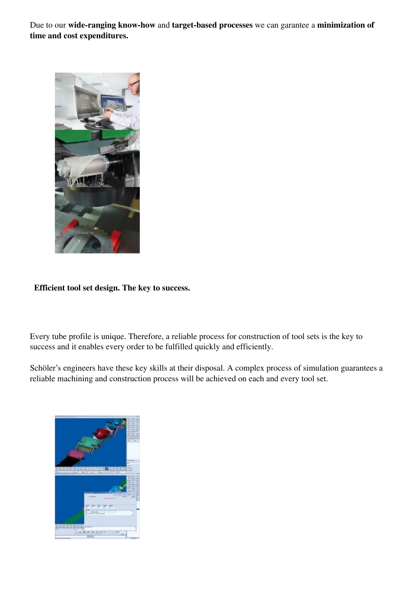Due to our **wide-ranging know-how** and **target-based processes** we can garantee a **minimization of time and cost expenditures.**



 **Efficient tool set design. The key to success.**

Every tube profile is unique. Therefore, a reliable process for construction of tool sets is the key to success and it enables every order to be fulfilled quickly and efficiently.

Schöler's engineers have these key skills at their disposal. A complex process of simulation guarantees a reliable machining and construction process will be achieved on each and every tool set.

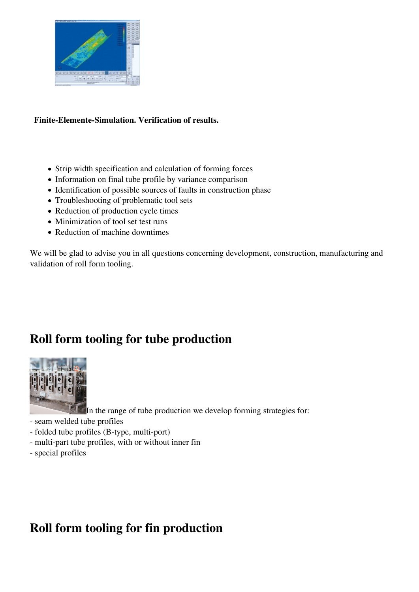

#### **Finite-Elemente-Simulation. Verification of results.**

- Strip width specification and calculation of forming forces
- Information on final tube profile by variance comparison
- Identification of possible sources of faults in construction phase
- Troubleshooting of problematic tool sets
- Reduction of production cycle times
- Minimization of tool set test runs
- Reduction of machine downtimes

We will be glad to advise you in all questions concerning development, construction, manufacturing and validation of roll form tooling.

### **Roll form tooling for tube production**



In the range of tube production we develop forming strategies for:

- seam welded tube profiles
- folded tube profiles (B-type, multi-port)
- multi-part tube profiles, with or without inner fin
- special profiles

# **Roll form tooling for fin production**